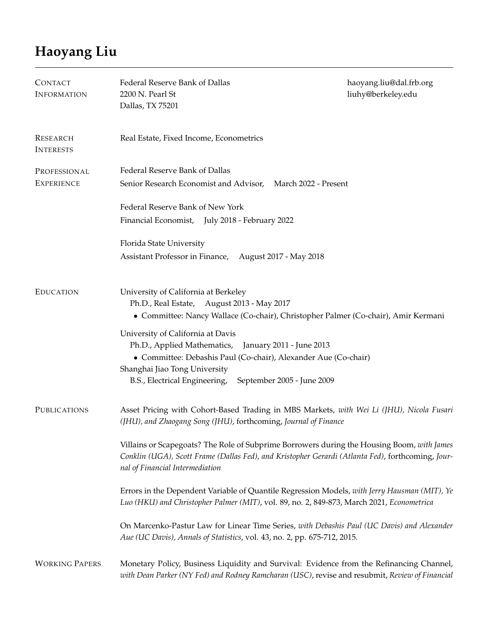## **Haoyang Liu**

| <b>CONTACT</b><br><b>INFORMATION</b> | Federal Reserve Bank of Dallas<br>2200 N. Pearl St<br>Dallas, TX 75201                                                                                                                                                                                       | haoyang.liu@dal.frb.org<br>liuhy@berkeley.edu |
|--------------------------------------|--------------------------------------------------------------------------------------------------------------------------------------------------------------------------------------------------------------------------------------------------------------|-----------------------------------------------|
| <b>RESEARCH</b><br><b>INTERESTS</b>  | Real Estate, Fixed Income, Econometrics                                                                                                                                                                                                                      |                                               |
| PROFESSIONAL<br><b>EXPERIENCE</b>    | Federal Reserve Bank of Dallas<br>Senior Research Economist and Advisor, March 2022 - Present                                                                                                                                                                |                                               |
|                                      | Federal Reserve Bank of New York<br>Financial Economist, July 2018 - February 2022                                                                                                                                                                           |                                               |
|                                      | Florida State University<br>Assistant Professor in Finance, August 2017 - May 2018                                                                                                                                                                           |                                               |
| <b>EDUCATION</b>                     | University of California at Berkeley<br>Ph.D., Real Estate, August 2013 - May 2017<br>• Committee: Nancy Wallace (Co-chair), Christopher Palmer (Co-chair), Amir Kermani                                                                                     |                                               |
|                                      | University of California at Davis<br>Ph.D., Applied Mathematics, January 2011 - June 2013<br>• Committee: Debashis Paul (Co-chair), Alexander Aue (Co-chair)<br>Shanghai Jiao Tong University<br>B.S., Electrical Engineering,<br>September 2005 - June 2009 |                                               |
| <b>PUBLICATIONS</b>                  | Asset Pricing with Cohort-Based Trading in MBS Markets, with Wei Li (JHU), Nicola Fusari<br>(JHU), and Zhaogang Song (JHU), forthcoming, Journal of Finance                                                                                                  |                                               |
|                                      | Villains or Scapegoats? The Role of Subprime Borrowers during the Housing Boom, with James<br>Conklin (UGA), Scott Frame (Dallas Fed), and Kristopher Gerardi (Atlanta Fed), forthcoming, Jour-<br>nal of Financial Intermediation                           |                                               |
|                                      | Errors in the Dependent Variable of Quantile Regression Models, with Jerry Hausman (MIT), Ye<br>Luo (HKU) and Christopher Palmer (MIT), vol. 89, no. 2, 849-873, March 2021, Econometrica                                                                    |                                               |
|                                      | On Marcenko-Pastur Law for Linear Time Series, with Debashis Paul (UC Davis) and Alexander<br>Aue (UC Davis), Annals of Statistics, vol. 43, no. 2, pp. 675-712, 2015.                                                                                       |                                               |
| <b>WORKING PAPERS</b>                | Monetary Policy, Business Liquidity and Survival: Evidence from the Refinancing Channel,<br>with Dean Parker (NY Fed) and Rodney Ramcharan (USC), revise and resubmit, Review of Financial                                                                   |                                               |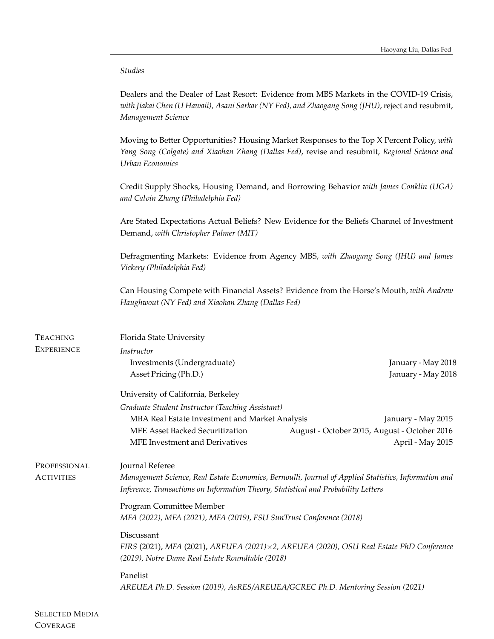## *Studies*

Dealers and the Dealer of Last Resort: Evidence from MBS Markets in the COVID-19 Crisis, *with Jiakai Chen (U Hawaii), Asani Sarkar (NY Fed), and Zhaogang Song (JHU)*, reject and resubmit, *Management Science*

Moving to Better Opportunities? Housing Market Responses to the Top X Percent Policy, *with Yang Song (Colgate) and Xiaohan Zhang (Dallas Fed)*, revise and resubmit, *Regional Science and Urban Economics*

Credit Supply Shocks, Housing Demand, and Borrowing Behavior *with James Conklin (UGA) and Calvin Zhang (Philadelphia Fed)*

Are Stated Expectations Actual Beliefs? New Evidence for the Beliefs Channel of Investment Demand, *with Christopher Palmer (MIT)*

Defragmenting Markets: Evidence from Agency MBS, *with Zhaogang Song (JHU) and James Vickery (Philadelphia Fed)*

Can Housing Compete with Financial Assets? Evidence from the Horse's Mouth, *with Andrew Haughwout (NY Fed) and Xiaohan Zhang (Dallas Fed)*

| <b>TEACHING</b>   | Florida State University                                                                                                                                                                   |                                              |  |
|-------------------|--------------------------------------------------------------------------------------------------------------------------------------------------------------------------------------------|----------------------------------------------|--|
| <b>EXPERIENCE</b> | Instructor                                                                                                                                                                                 |                                              |  |
|                   | Investments (Undergraduate)<br>Asset Pricing (Ph.D.)                                                                                                                                       | January - May 2018<br>January - May 2018     |  |
|                   | University of California, Berkeley                                                                                                                                                         |                                              |  |
|                   | Graduate Student Instructor (Teaching Assistant)                                                                                                                                           |                                              |  |
|                   | MBA Real Estate Investment and Market Analysis                                                                                                                                             | January - May 2015                           |  |
|                   | <b>MFE Asset Backed Securitization</b>                                                                                                                                                     | August - October 2015, August - October 2016 |  |
|                   | <b>MFE</b> Investment and Derivatives                                                                                                                                                      | April - May 2015                             |  |
| PROFESSIONAL      | Journal Referee                                                                                                                                                                            |                                              |  |
| <b>ACTIVITIES</b> | Management Science, Real Estate Economics, Bernoulli, Journal of Applied Statistics, Information and<br>Inference, Transactions on Information Theory, Statistical and Probability Letters |                                              |  |
|                   | Program Committee Member<br>MFA (2022), MFA (2021), MFA (2019), FSU SunTrust Conference (2018)                                                                                             |                                              |  |
|                   | Discussant<br>FIRS (2021), MFA (2021), AREUEA (2021) × 2, AREUEA (2020), OSU Real Estate PhD Conference<br>(2019), Notre Dame Real Estate Roundtable (2018)                                |                                              |  |
|                   | Panelist<br>AREUEA Ph.D. Session (2019), AsRES/AREUEA/GCREC Ph.D. Mentoring Session (2021)                                                                                                 |                                              |  |